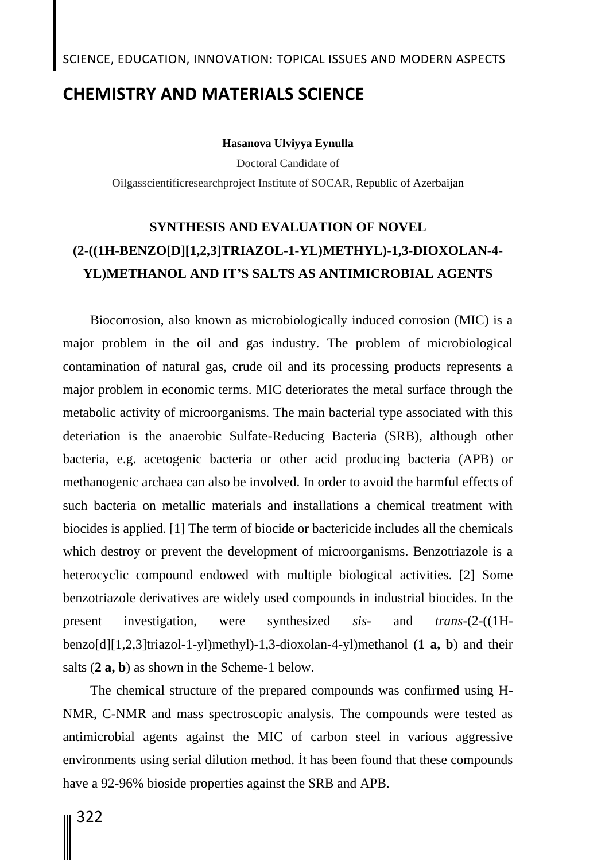### SCIENCE, EDUCATION, INNOVATION: TOPICAL ISSUES AND MODERN ASPECTS

## **CHEMISTRY AND MATERIALS SCIENCE**

**Hasanova Ulviyya Eynulla**

Doctoral Candidate of Oilgasscientificresearchproject Institute of SOCAR, Republic of Azerbaijan

# **SYNTHESIS AND EVALUATION OF NOVEL (2-((1H-BENZO[D][1,2,3]TRIAZOL-1-YL)METHYL)-1,3-DIOXOLAN-4- YL)METHANOL AND IT'S SALTS AS ANTIMICROBIAL AGENTS**

Biocorrosion, also known as microbiologically induced corrosion (MIC) is a major problem in the oil and gas industry. The problem of microbiological contamination of natural gas, crude oil and its processing products represents a major problem in economic terms. MIC deteriorates the metal surface through the metabolic activity of microorganisms. The main bacterial type associated with this deteriation is the anaerobic Sulfate-Reducing Bacteria (SRB), although other bacteria, e.g. acetogenic bacteria or other acid producing bacteria (APB) or methanogenic archaea can also be involved. In order to avoid the harmful effects of such bacteria on metallic materials and installations a chemical treatment with biocides is applied. [1] The term of biocide or bactericide includes all the chemicals which destroy or prevent the development of microorganisms. Benzotriazole is a heterocyclic compound endowed with multiple biological activities. [2] Some benzotriazole derivatives are widely used compounds in industrial biocides. In the present investigation, were synthesized *sis-* and *trans*-(2-((1Hbenzo[d][1,2,3]triazol-1-yl)methyl)-1,3-dioxolan-4-yl)methanol (**1 a, b**) and their salts (**2 a, b**) as shown in the Scheme-1 below.

The chemical structure of the prepared compounds was confirmed using H-NMR, C-NMR and mass spectroscopic analysis. The compounds were tested as antimicrobial agents against the MIC of carbon steel in various aggressive environments using serial dilution method. İt has been found that these compounds have a 92-96% bioside properties against the SRB and APB.